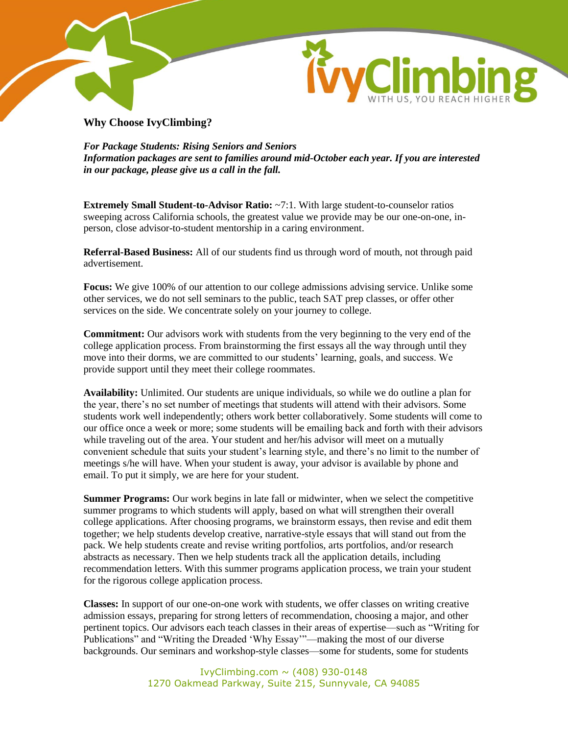



**Why Choose IvyClimbing?**

*For Package Students: Rising Seniors and Seniors Information packages are sent to families around mid-October each year. If you are interested in our package, please give us a call in the fall.*

**Extremely Small Student-to-Advisor Ratio:** ~7:1. With large student-to-counselor ratios sweeping across California schools, the greatest value we provide may be our one-on-one, inperson, close advisor-to-student mentorship in a caring environment.

**Referral-Based Business:** All of our students find us through word of mouth, not through paid advertisement.

**Focus:** We give 100% of our attention to our college admissions advising service. Unlike some other services, we do not sell seminars to the public, teach SAT prep classes, or offer other services on the side. We concentrate solely on your journey to college.

**Commitment:** Our advisors work with students from the very beginning to the very end of the college application process. From brainstorming the first essays all the way through until they move into their dorms, we are committed to our students" learning, goals, and success. We provide support until they meet their college roommates.

**Availability:** Unlimited. Our students are unique individuals, so while we do outline a plan for the year, there"s no set number of meetings that students will attend with their advisors. Some students work well independently; others work better collaboratively. Some students will come to our office once a week or more; some students will be emailing back and forth with their advisors while traveling out of the area. Your student and her/his advisor will meet on a mutually convenient schedule that suits your student"s learning style, and there"s no limit to the number of meetings s/he will have. When your student is away, your advisor is available by phone and email. To put it simply, we are here for your student.

**Summer Programs:** Our work begins in late fall or midwinter, when we select the competitive summer programs to which students will apply, based on what will strengthen their overall college applications. After choosing programs, we brainstorm essays, then revise and edit them together; we help students develop creative, narrative-style essays that will stand out from the pack. We help students create and revise writing portfolios, arts portfolios, and/or research abstracts as necessary. Then we help students track all the application details, including recommendation letters. With this summer programs application process, we train your student for the rigorous college application process.

**Classes:** In support of our one-on-one work with students, we offer classes on writing creative admission essays, preparing for strong letters of recommendation, choosing a major, and other pertinent topics. Our advisors each teach classes in their areas of expertise—such as "Writing for Publications" and "Writing the Dreaded "Why Essay""—making the most of our diverse backgrounds. Our seminars and workshop-style classes—some for students, some for students

> IvyClimbing.com  $\sim$  (408) 930-0148 1270 Oakmead Parkway, Suite 215, Sunnyvale, CA 94085